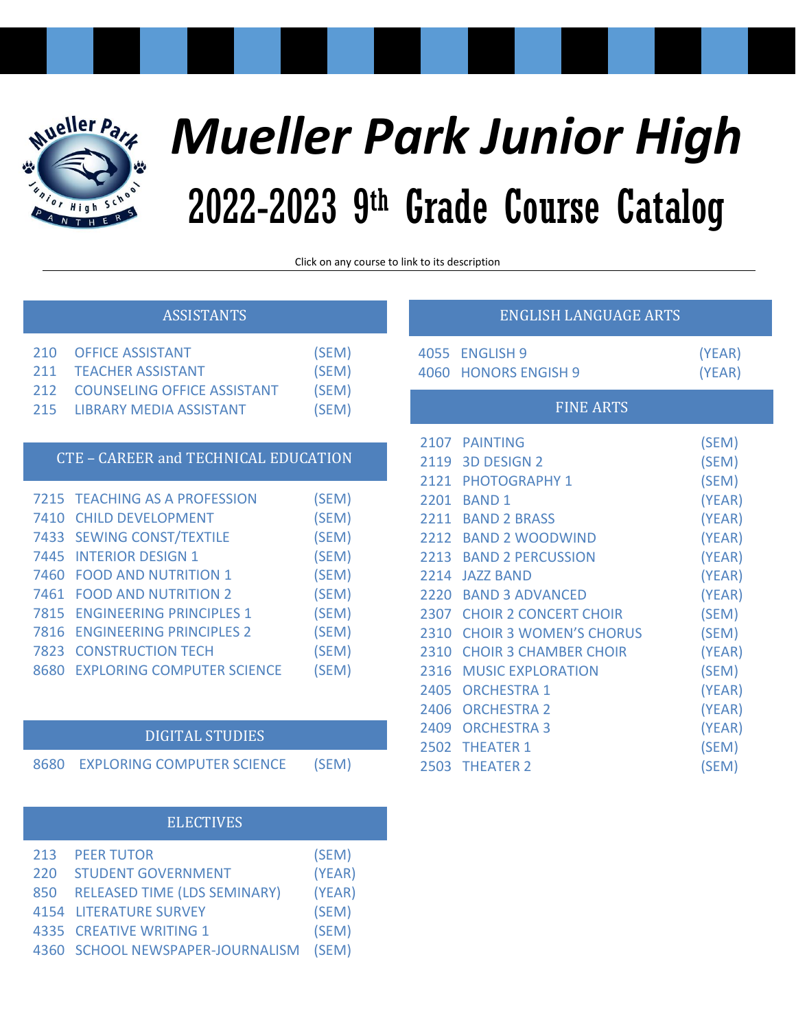

# *Mueller Park Junior High* 2022-2023 9 th Grade Course Catalog

Click on any course to link to its description

# [ASSISTANTS](#page-2-3)

# CTE – [CAREER and TECHNICAL EDUCATION](#page-2-0) [Requires Permission](#page-2-3) [210 OFFICE ASSISTANT \(SEM\)](#page-2-4) [211 TEACHER ASSISTANT \(SEM\)](#page-2-5) [212 COUNSELING OFFICE ASSISTANT \(SEM\)](#page-2-6) [215 LIBRARY MEDIA ASSISTANT](#page-2-7) (SEM)

|      | 7215 TEACHING AS A PROFESSION     | (SEM) |
|------|-----------------------------------|-------|
|      | 7410 CHILD DEVELOPMENT            | (SEM) |
|      | 7433 SEWING CONST/TEXTILE         | (SEM) |
|      | 7445 INTERIOR DESIGN 1            | (SEM) |
|      | 7460 FOOD AND NUTRITION 1         | (SEM) |
|      | 7461 FOOD AND NUTRITION 2         | (SEM) |
|      | 7815 ENGINEERING PRINCIPLES 1     | (SEM) |
|      | 7816 ENGINEERING PRINCIPLES 2     | (SEM) |
|      | <b>7823 CONSTRUCTION TECH</b>     | (SEM) |
| 8680 | <b>EXPLORING COMPUTER SCIENCE</b> | (SEM) |

# [DIGITAL STUDIES](#page-4-0)

[8680 EXPLORING COMPUTER SCIENCE \(SEM\)](#page-4-1)

# [ELECTIVES](#page-4-0)

| 213 PEER TUTOR                   | (SEM)  |
|----------------------------------|--------|
| 220 STUDENT GOVERNMENT           | (YEAR) |
| 850 RELEASED TIME (LDS SEMINARY) | (YEAR) |
| <b>4154 LITERATURE SURVEY</b>    | (SEM)  |
| 4335 CREATIVE WRITING 1          | (SEM)  |
| 4360 SCHOOL NEWSPAPER-JOURNALISM | (SEM)  |

# [ENGLISH LANGUAGE ARTS](#page-5-2)

| 4055 | <b>FNGLISH 9</b>              | (YEAR) |
|------|-------------------------------|--------|
| 4060 | <b>HONORS ENGISH 9</b>        | (YEAR) |
|      | <b>FINE ARTS</b>              |        |
| 2107 | <b>PAINTING</b>               | (SEM)  |
| 2119 | <b>3D DESIGN 2</b>            | (SEM)  |
| 2121 | <b>PHOTOGRAPHY 1</b>          | (SEM)  |
| 2201 | <b>BAND1</b>                  | (YEAR) |
| 2211 | <b>BAND 2 BRASS</b>           | (YEAR) |
| 2212 | <b>BAND 2 WOODWIND</b>        | (YEAR) |
| 2213 | <b>BAND 2 PERCUSSION</b>      | (YEAR) |
| 2214 | <b>IA77 BAND</b>              | (YEAR) |
| 2220 | <b>BAND 3 ADVANCED</b>        | (YEAR) |
| 2307 | <b>CHOIR 2 CONCERT CHOIR</b>  | (SEM)  |
| 2310 | <b>CHOIR 3 WOMEN'S CHORUS</b> | (SEM)  |
| 2310 | <b>CHOIR 3 CHAMBER CHOIR</b>  | (YEAR) |
| 2316 | <b>MUSIC EXPLORATION</b>      | (SEM)  |
| 2405 | <b>ORCHESTRA 1</b>            | (YEAR) |
| 2406 | <b>ORCHESTRA 2</b>            | (YEAR) |
| 2409 | <b>ORCHESTRA 3</b>            | (YEAR) |
| 2502 | <b>THEATER 1</b>              | (SEM)  |
| 2503 | <b>THEATER 2</b>              | (SEM)  |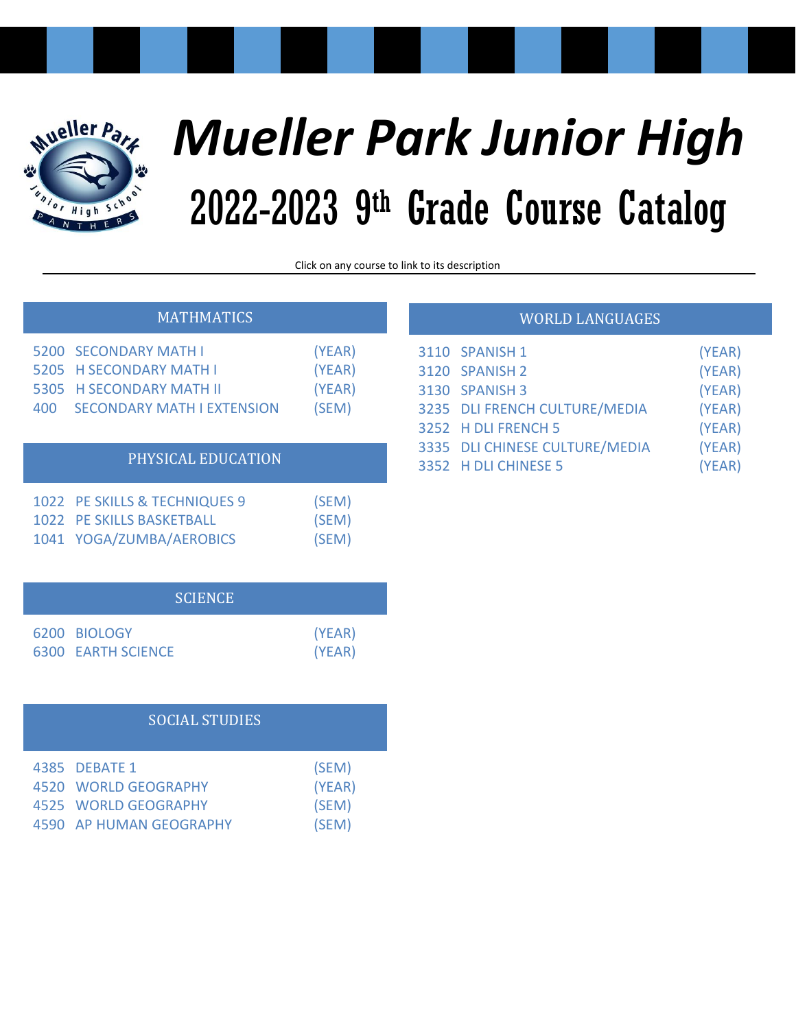

# *Mueller Park Junior High* 2022-2023 9 th Grade Course Catalog

Click on any course to link to its description

|  |  | <b>MATHMATICS</b> |
|--|--|-------------------|
|  |  |                   |
|  |  |                   |

| 400 | 5200 SECONDARY MATH I<br>5205 H SECONDARY MATH I<br>5305 H SECONDARY MATH II<br><b>SECONDARY MATH LEXTENSION</b> | (YEAR)<br>(YEAR)<br>(YEAR)<br>(SEM) |
|-----|------------------------------------------------------------------------------------------------------------------|-------------------------------------|
|     | PHYSICAL EDUCATION                                                                                               |                                     |
|     | 1022 PE SKILLS & TECHNIQUES 9                                                                                    | SEM)                                |

| 1022 PE SKILLS BASKETBALL | .<br>(SEM) |
|---------------------------|------------|
| 1041 YOGA/ZUMBA/AEROBICS  | (SEM)      |

|                           | <b>SCIENCE</b> |        |
|---------------------------|----------------|--------|
| 6200 BIOLOGY              |                | (YEAR) |
| <b>6300 EARTH SCIENCE</b> |                | (YEAR) |

# SOCIAL STUDIES

| 4385 DEBATE 1           | (SEM)  |
|-------------------------|--------|
| 4520 WORLD GEOGRAPHY    | (YEAR) |
| 4525 WORLD GEOGRAPHY    | (SEM)  |
| 4590 AP HUMAN GEOGRAPHY | (SEM)  |

| <b>WORLD LANGUAGES</b> |  |
|------------------------|--|
|                        |  |

| 3110 SPANISH 1                 | (YEAR) |
|--------------------------------|--------|
| 3120 SPANISH 2                 | (YEAR) |
| <b>3130 SPANISH 3</b>          | (YEAR) |
| 3235 DLI FRENCH CULTURE/MEDIA  | (YEAR) |
| 3252 H DLI FRENCH 5            | (YEAR) |
| 3335 DLI CHINESE CULTURE/MEDIA | (YEAR) |
| 3352 H DLI CHINESE 5           | (YEAR) |
|                                |        |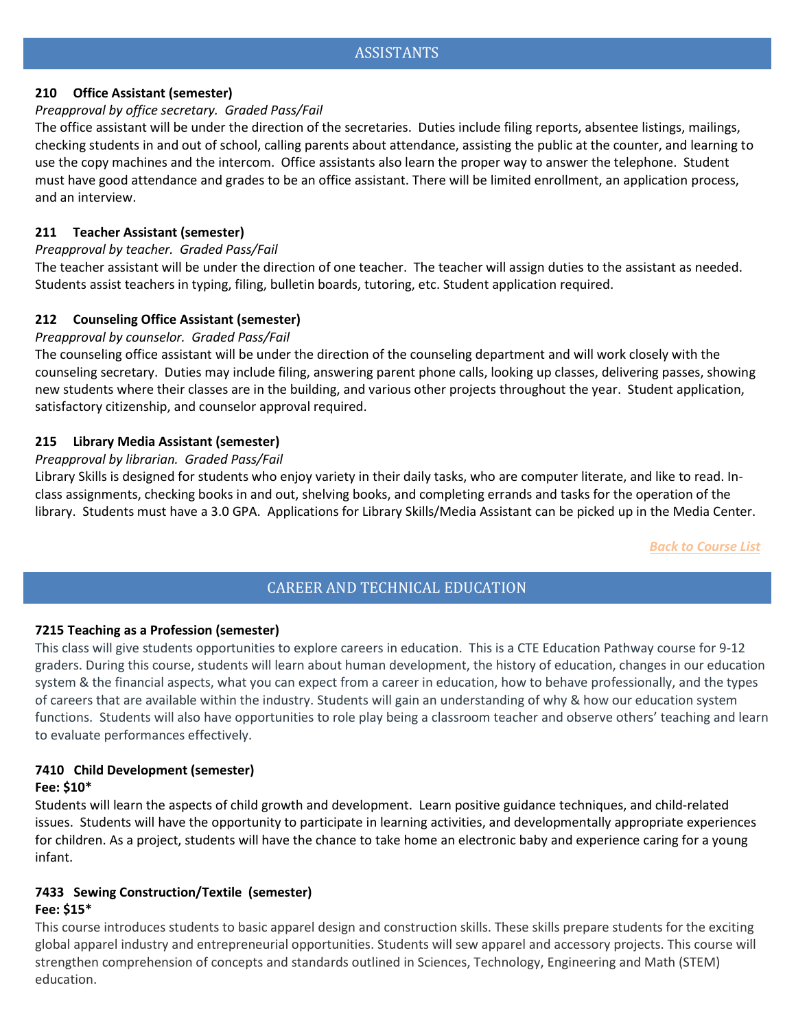# <span id="page-2-4"></span><span id="page-2-3"></span>**210 Office Assistant (semester)**

# *Preapproval by office secretary. Graded Pass/Fail*

The office assistant will be under the direction of the secretaries. Duties include filing reports, absentee listings, mailings, checking students in and out of school, calling parents about attendance, assisting the public at the counter, and learning to use the copy machines and the intercom. Office assistants also learn the proper way to answer the telephone. Student must have good attendance and grades to be an office assistant. There will be limited enrollment, an application process, and an interview.

# <span id="page-2-5"></span>**211 Teacher Assistant (semester)**

# *Preapproval by teacher. Graded Pass/Fail*

The teacher assistant will be under the direction of one teacher. The teacher will assign duties to the assistant as needed. Students assist teachers in typing, filing, bulletin boards, tutoring, etc. Student application required.

# <span id="page-2-6"></span>**212 Counseling Office Assistant (semester)**

# *Preapproval by counselor. Graded Pass/Fail*

The counseling office assistant will be under the direction of the counseling department and will work closely with the counseling secretary. Duties may include filing, answering parent phone calls, looking up classes, delivering passes, showing new students where their classes are in the building, and various other projects throughout the year. Student application, satisfactory citizenship, and counselor approval required.

# <span id="page-2-7"></span>**215 Library Media Assistant (semester)**

# *Preapproval by librarian. Graded Pass/Fail*

Library Skills is designed for students who enjoy variety in their daily tasks, who are computer literate, and like to read. Inclass assignments, checking books in and out, shelving books, and completing errands and tasks for the operation of the library. Students must have a 3.0 GPA. Applications for Library Skills/Media Assistant can be picked up in the Media Center.

*Back to Course List*

# CAREER AND TECHNICAL EDUCATION

# <span id="page-2-1"></span><span id="page-2-0"></span>**7215 Teaching as a Profession (semester)**

This class will give students opportunities to explore careers in education.  This is a CTE Education Pathway course for 9-12 graders. During this course, students will learn about human development, the history of education, changes in our education system & the financial aspects, what you can expect from a career in education, how to behave professionally, and the types of careers that are available within the industry. Students will gain an understanding of why & how our education system functions. Students will also have opportunities to role play being a classroom teacher and observe others' teaching and learn to evaluate performances effectively.  

# **7410 Child Development (semester)**

#### **Fee: \$10\***

<span id="page-2-2"></span>Students will learn the aspects of child growth and development. Learn positive guidance techniques, and child-related issues. Students will have the opportunity to participate in learning activities, and developmentally appropriate experiences for children. As a project, students will have the chance to take home an electronic baby and experience caring for a young infant.

# **7433 Sewing Construction/Textile (semester) Fee: \$15\***

This course introduces students to basic apparel design and construction skills. These skills prepare students for the exciting global apparel industry and entrepreneurial opportunities. Students will sew apparel and accessory projects. This course will strengthen comprehension of concepts and standards outlined in Sciences, Technology, Engineering and Math (STEM) education.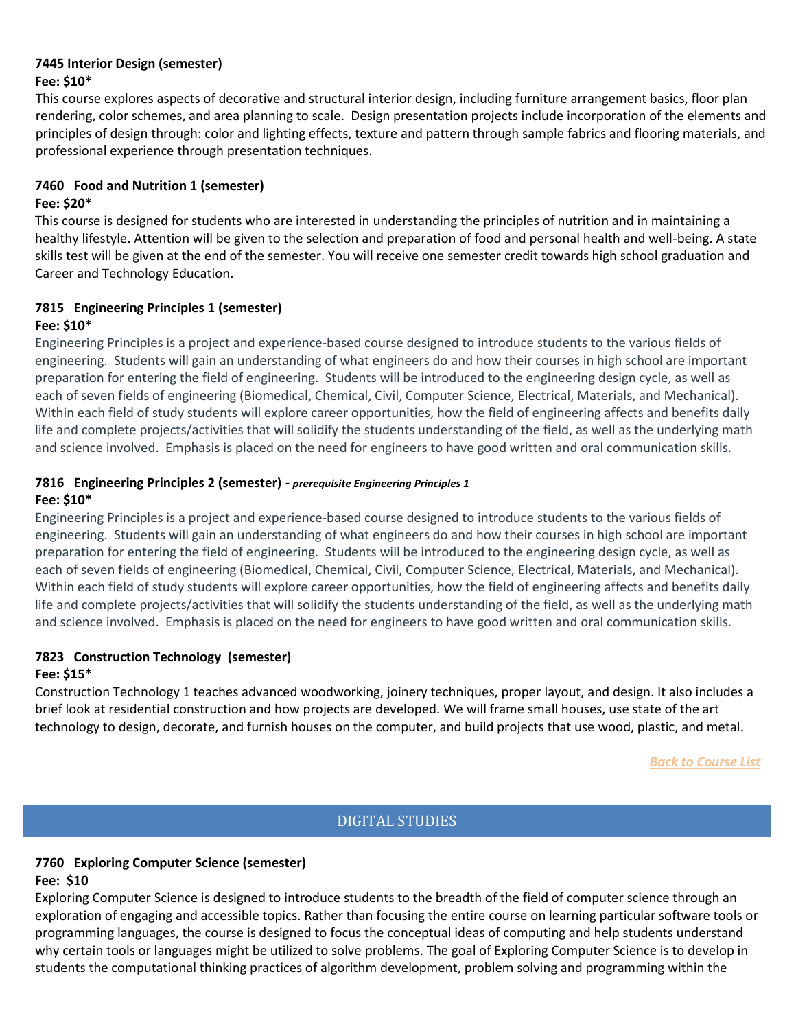#### **7445 Interior Design (semester) Fee: \$10\***

This course explores aspects of decorative and structural interior design, including furniture arrangement basics, floor plan rendering, color schemes, and area planning to scale. Design presentation projects include incorporation of the elements and principles of design through: color and lighting effects, texture and pattern through sample fabrics and flooring materials, and professional experience through presentation techniques.

#### **7460 Food and Nutrition 1 (semester) Fee: \$20\***

This course is designed for students who are interested in understanding the principles of nutrition and in maintaining a healthy lifestyle. Attention will be given to the selection and preparation of food and personal health and well-being. A state skills test will be given at the end of the semester. You will receive one semester credit towards high school graduation and Career and Technology Education.

# **7815 Engineering Principles 1 (semester) Fee: \$10\***

<span id="page-3-0"></span>Engineering Principles is a project and experience-based course designed to introduce students to the various fields of engineering.  Students will gain an understanding of what engineers do and how their courses in high school are important preparation for entering the field of engineering.  Students will be introduced to the engineering design cycle, as well as each of seven fields of engineering (Biomedical, Chemical, Civil, Computer Science, Electrical, Materials, and Mechanical).  Within each field of study students will explore career opportunities, how the field of engineering affects and benefits daily life and complete projects/activities that will solidify the students understanding of the field, as well as the underlying math and science involved.  Emphasis is placed on the need for engineers to have good written and oral communication skills.

# **7816 Engineering Principles 2 (semester) -** *prerequisite Engineering Principles 1* **Fee: \$10\***

Engineering Principles is a project and experience-based course designed to introduce students to the various fields of engineering.  Students will gain an understanding of what engineers do and how their courses in high school are important preparation for entering the field of engineering.  Students will be introduced to the engineering design cycle, as well as each of seven fields of engineering (Biomedical, Chemical, Civil, Computer Science, Electrical, Materials, and Mechanical).  Within each field of study students will explore career opportunities, how the field of engineering affects and benefits daily life and complete projects/activities that will solidify the students understanding of the field, as well as the underlying math and science involved.  Emphasis is placed on the need for engineers to have good written and oral communication skills.

#### **7823 Construction Technology (semester) Fee: \$15\***

Construction Technology 1 teaches advanced woodworking, joinery techniques, proper layout, and design. It also includes a brief look at residential construction and how projects are developed. We will frame small houses, use state of the art technology to design, decorate, and furnish houses on the computer, and build projects that use wood, plastic, and metal.

*Back to Course List*

# DIGITAL STUDIES

# **7760 Exploring Computer Science (semester) Fee: \$10**

Exploring Computer Science is designed to introduce students to the breadth of the field of computer science through an exploration of engaging and accessible topics. Rather than focusing the entire course on learning particular software tools or programming languages, the course is designed to focus the conceptual ideas of computing and help students understand why certain tools or languages might be utilized to solve problems. The goal of Exploring Computer Science is to develop in students the computational thinking practices of algorithm development, problem solving and programming within the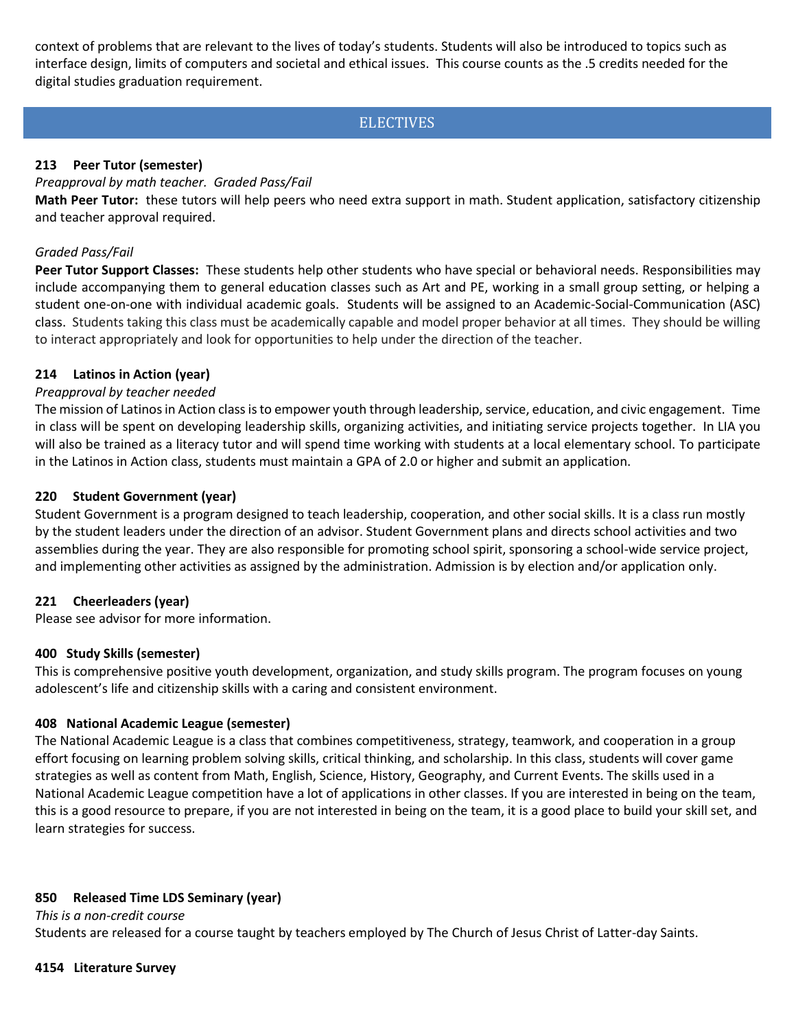context of problems that are relevant to the lives of today's students. Students will also be introduced to topics such as interface design, limits of computers and societal and ethical issues. This course counts as the .5 credits needed for the digital studies graduation requirement.

# **ELECTIVES**

# <span id="page-4-1"></span><span id="page-4-0"></span>**213 Peer Tutor (semester)**

#### *Preapproval by math teacher. Graded Pass/Fail*

**Math Peer Tutor:** these tutors will help peers who need extra support in math. Student application, satisfactory citizenship and teacher approval required.

#### *Graded Pass/Fail*

**Peer Tutor Support Classes:** These students help other students who have special or behavioral needs. Responsibilities may include accompanying them to general education classes such as Art and PE, working in a small group setting, or helping a student one-on-one with individual academic goals. Students will be assigned to an Academic-Social-Communication (ASC) class. Students taking this class must be academically capable and model proper behavior at all times. They should be willing to interact appropriately and look for opportunities to help under the direction of the teacher.

#### **214 Latinos in Action (year)**

#### *Preapproval by teacher needed*

<span id="page-4-2"></span>The mission of Latinos in Action class is to empower youth through leadership, service, education, and civic engagement. Time in class will be spent on developing leadership skills, organizing activities, and initiating service projects together. In LIA you will also be trained as a literacy tutor and will spend time working with students at a local elementary school. To participate in the Latinos in Action class, students must maintain a GPA of 2.0 or higher and submit an application.

#### **220 Student Government (year)**

Student Government is a program designed to teach leadership, cooperation, and other social skills. It is a class run mostly by the student leaders under the direction of an advisor. Student Government plans and directs school activities and two assemblies during the year. They are also responsible for promoting school spirit, sponsoring a school-wide service project, and implementing other activities as assigned by the administration. Admission is by election and/or application only.

#### **221 Cheerleaders (year)**

Please see advisor for more information.

#### **400 Study Skills (semester)**

This is comprehensive positive youth development, organization, and study skills program. The program focuses on young adolescent's life and citizenship skills with a caring and consistent environment.

#### **408 National Academic League (semester)**

The National Academic League is a class that combines competitiveness, strategy, teamwork, and cooperation in a group effort focusing on learning problem solving skills, critical thinking, and scholarship. In this class, students will cover game strategies as well as content from Math, English, Science, History, Geography, and Current Events. The skills used in a National Academic League competition have a lot of applications in other classes. If you are interested in being on the team, this is a good resource to prepare, if you are not interested in being on the team, it is a good place to build your skill set, and learn strategies for success.  

#### <span id="page-4-3"></span>**850 Released Time LDS Seminary (year)**

*This is a non-credit course* Students are released for a course taught by teachers employed by The Church of Jesus Christ of Latter-day Saints.

#### **4154 Literature Survey**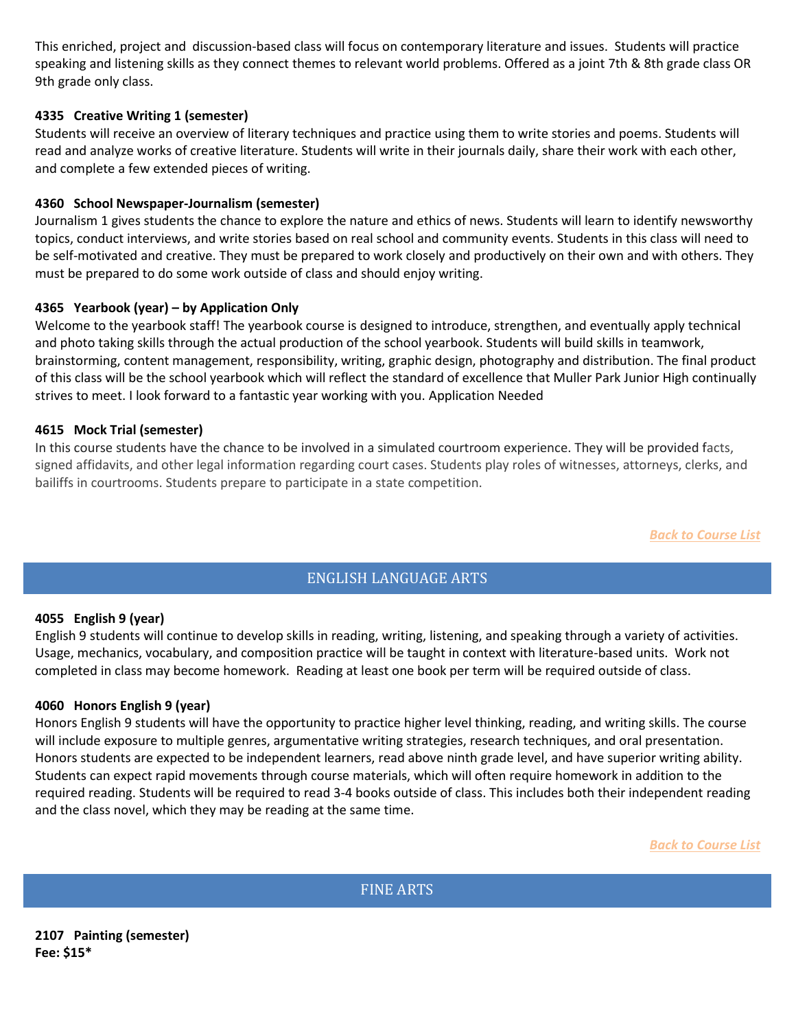This enriched, project and discussion-based class will focus on contemporary literature and issues. Students will practice speaking and listening skills as they connect themes to relevant world problems. Offered as a joint 7th & 8th grade class OR 9th grade only class.

# **4335 Creative Writing 1 (semester)**

Students will receive an overview of literary techniques and practice using them to write stories and poems. Students will read and analyze works of creative literature. Students will write in their journals daily, share their work with each other, and complete a few extended pieces of writing.

# <span id="page-5-1"></span>**4360 School Newspaper-Journalism (semester)**

Journalism 1 gives students the chance to explore the nature and ethics of news. Students will learn to identify newsworthy topics, conduct interviews, and write stories based on real school and community events. Students in this class will need to be self-motivated and creative. They must be prepared to work closely and productively on their own and with others. They must be prepared to do some work outside of class and should enjoy writing.

# **4365 Yearbook (year) – by Application Only**

Welcome to the yearbook staff! The yearbook course is designed to introduce, strengthen, and eventually apply technical and photo taking skills through the actual production of the school yearbook. Students will build skills in teamwork, brainstorming, content management, responsibility, writing, graphic design, photography and distribution. The final product of this class will be the school yearbook which will reflect the standard of excellence that Muller Park Junior High continually strives to meet. I look forward to a fantastic year working with you. Application Needed

#### **4615 Mock Trial (semester)**

In this course students have the chance to be involved in a simulated courtroom experience. They will be provided facts, signed affidavits, and other legal information regarding court cases. Students play roles of witnesses, attorneys, clerks, and bailiffs in courtrooms. Students prepare to participate in a state competition.

*Back to Course List*

# ENGLISH LANGUAGE ARTS

#### <span id="page-5-3"></span><span id="page-5-2"></span>**4055 English 9 (year)**

<span id="page-5-0"></span>English 9 students will continue to develop skills in reading, writing, listening, and speaking through a variety of activities. Usage, mechanics, vocabulary, and composition practice will be taught in context with literature-based units. Work not completed in class may become homework. Reading at least one book per term will be required outside of class.

#### **4060 Honors English 9 (year)**

Honors English 9 students will have the opportunity to practice higher level thinking, reading, and writing skills. The course will include exposure to multiple genres, argumentative writing strategies, research techniques, and oral presentation. Honors students are expected to be independent learners, read above ninth grade level, and have superior writing ability. Students can expect rapid movements through course materials, which will often require homework in addition to the required reading. Students will be required to read 3-4 books outside of class. This includes both their independent reading and the class novel, which they may be reading at the same time.

*Back to Course List*

FINE ARTS

<span id="page-5-5"></span><span id="page-5-4"></span>**2107 Painting (semester) Fee: \$15\***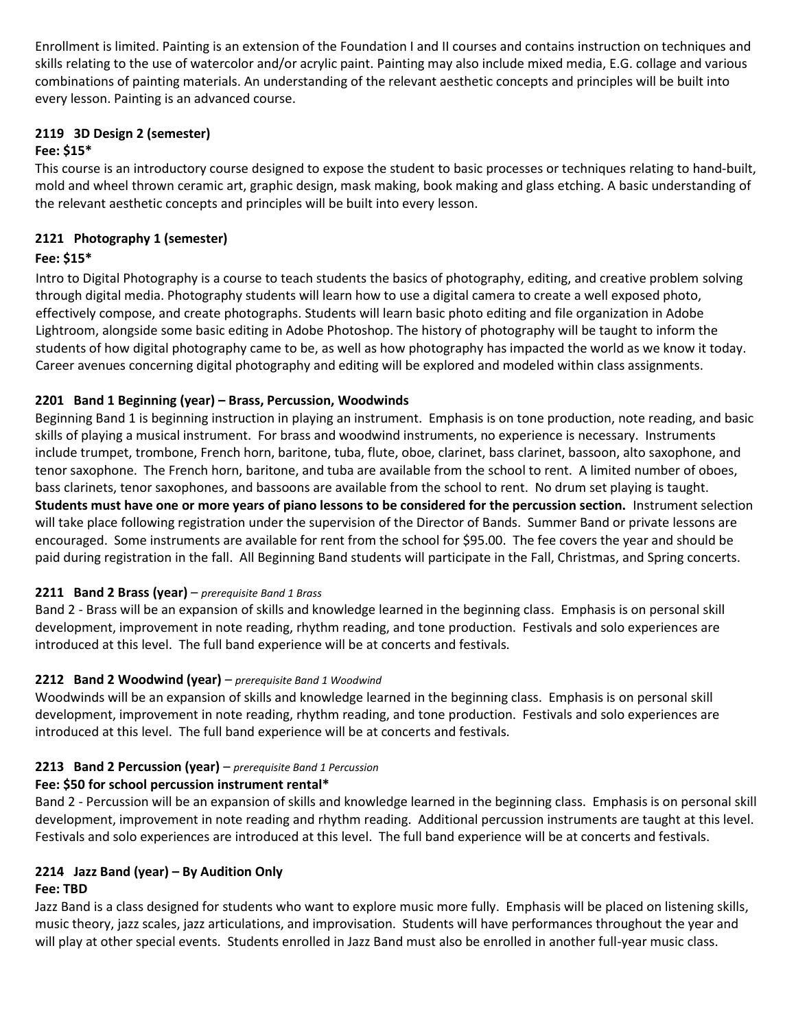Enrollment is limited. Painting is an extension of the Foundation I and II courses and contains instruction on techniques and skills relating to the use of watercolor and/or acrylic paint. Painting may also include mixed media, E.G. collage and various combinations of painting materials. An understanding of the relevant aesthetic concepts and principles will be built into every lesson. Painting is an advanced course.

# **2119 3D Design 2 (semester)**

# **Fee: \$15\***

This course is an introductory course designed to expose the student to basic processes or techniques relating to hand-built, mold and wheel thrown ceramic art, graphic design, mask making, book making and glass etching. A basic understanding of the relevant aesthetic concepts and principles will be built into every lesson.

# **2121 Photography 1 (semester)**

# **Fee: \$15\***

Intro to Digital Photography is a course to teach students the basics of photography, editing, and creative problem solving through digital media. Photography students will learn how to use a digital camera to create a well exposed photo, effectively compose, and create photographs. Students will learn basic photo editing and file organization in Adobe Lightroom, alongside some basic editing in Adobe Photoshop. The history of photography will be taught to inform the students of how digital photography came to be, as well as how photography has impacted the world as we know it today. Career avenues concerning digital photography and editing will be explored and modeled within class assignments.

# <span id="page-6-0"></span>**2201 Band 1 Beginning (year) – Brass, Percussion, Woodwinds**

Beginning Band 1 is beginning instruction in playing an instrument. Emphasis is on tone production, note reading, and basic skills of playing a musical instrument. For brass and woodwind instruments, no experience is necessary. Instruments include trumpet, trombone, French horn, baritone, tuba, flute, oboe, clarinet, bass clarinet, bassoon, alto saxophone, and tenor saxophone. The French horn, baritone, and tuba are available from the school to rent. A limited number of oboes, bass clarinets, tenor saxophones, and bassoons are available from the school to rent. No drum set playing is taught. **Students must have one or more years of piano lessons to be considered for the percussion section.** Instrument selection will take place following registration under the supervision of the Director of Bands. Summer Band or private lessons are encouraged. Some instruments are available for rent from the school for \$95.00. The fee covers the year and should be paid during registration in the fall. All Beginning Band students will participate in the Fall, Christmas, and Spring concerts.

# <span id="page-6-1"></span>**2211 Band 2 Brass (year)** – *prerequisite Band 1 Brass*

Band 2 - Brass will be an expansion of skills and knowledge learned in the beginning class. Emphasis is on personal skill development, improvement in note reading, rhythm reading, and tone production. Festivals and solo experiences are introduced at this level. The full band experience will be at concerts and festivals.

# <span id="page-6-2"></span>**2212 Band 2 Woodwind (year)** – *prerequisite Band 1 Woodwind*

<span id="page-6-3"></span>Woodwinds will be an expansion of skills and knowledge learned in the beginning class. Emphasis is on personal skill development, improvement in note reading, rhythm reading, and tone production. Festivals and solo experiences are introduced at this level. The full band experience will be at concerts and festivals.

# **2213 Band 2 Percussion (year)** – *prerequisite Band 1 Percussion*

# **Fee: \$50 for school percussion instrument rental\***

Band 2 - Percussion will be an expansion of skills and knowledge learned in the beginning class. Emphasis is on personal skill development, improvement in note reading and rhythm reading. Additional percussion instruments are taught at this level. Festivals and solo experiences are introduced at this level. The full band experience will be at concerts and festivals.

# <span id="page-6-4"></span>**2214 Jazz Band (year) – By Audition Only**

# **Fee: TBD**

<span id="page-6-5"></span>Jazz Band is a class designed for students who want to explore music more fully. Emphasis will be placed on listening skills, music theory, jazz scales, jazz articulations, and improvisation. Students will have performances throughout the year and will play at other special events. Students enrolled in Jazz Band must also be enrolled in another full-year music class.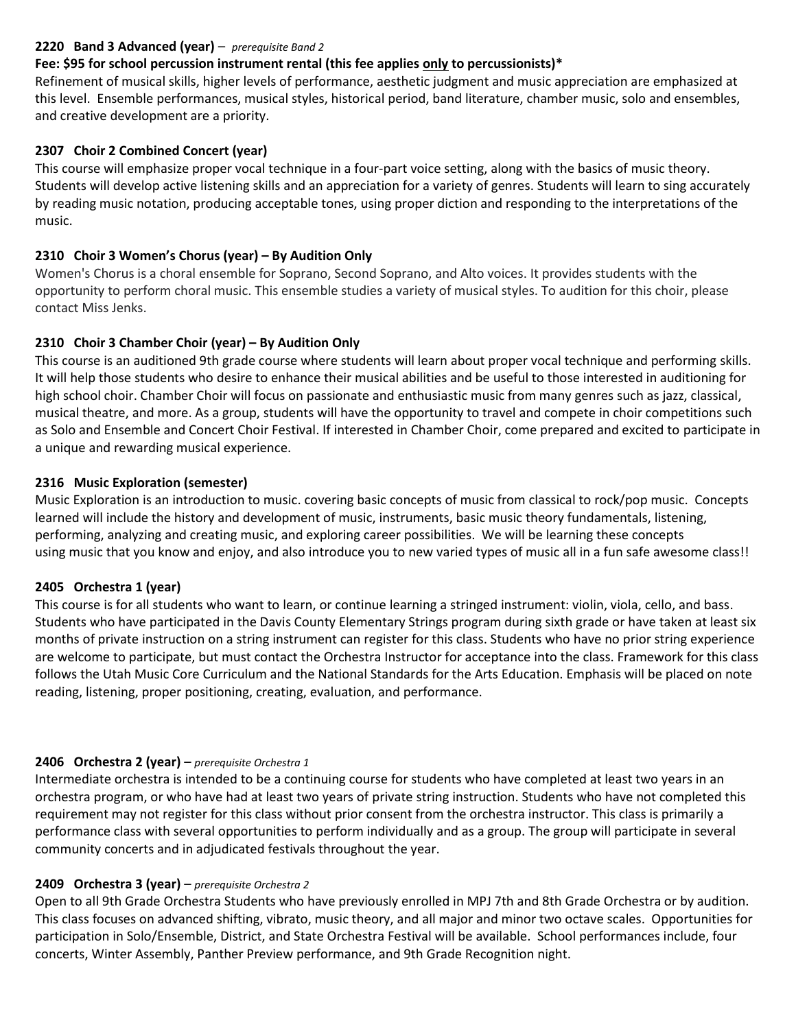# **2220 Band 3 Advanced (year)** – *prerequisite Band 2*

# **Fee: \$95 for school percussion instrument rental (this fee applies only to percussionists)\***

Refinement of musical skills, higher levels of performance, aesthetic judgment and music appreciation are emphasized at this level. Ensemble performances, musical styles, historical period, band literature, chamber music, solo and ensembles, and creative development are a priority.

# <span id="page-7-1"></span><span id="page-7-0"></span>**2307 Choir 2 Combined Concert (year)**

This course will emphasize proper vocal technique in a four-part voice setting, along with the basics of music theory. Students will develop active listening skills and an appreciation for a variety of genres. Students will learn to sing accurately by reading music notation, producing acceptable tones, using proper diction and responding to the interpretations of the music.

# **2310 Choir 3 Women's Chorus (year) – By Audition Only**

Women's Chorus is a choral ensemble for Soprano, Second Soprano, and Alto voices. It provides students with the opportunity to perform choral music. This ensemble studies a variety of musical styles. To audition for this choir, please contact Miss Jenks.

# **2310 Choir 3 Chamber Choir (year) – By Audition Only**

This course is an auditioned 9th grade course where students will learn about proper vocal technique and performing skills. It will help those students who desire to enhance their musical abilities and be useful to those interested in auditioning for high school choir. Chamber Choir will focus on passionate and enthusiastic music from many genres such as jazz, classical, musical theatre, and more. As a group, students will have the opportunity to travel and compete in choir competitions such as Solo and Ensemble and Concert Choir Festival. If interested in Chamber Choir, come prepared and excited to participate in a unique and rewarding musical experience.

# <span id="page-7-2"></span>**2316 Music Exploration (semester)**

<span id="page-7-3"></span>Music Exploration is an introduction to music. covering basic concepts of music from classical to rock/pop music. Concepts learned will include the history and development of music, instruments, basic music theory fundamentals, listening, performing, analyzing and creating music, and exploring career possibilities. We will be learning these concepts using music that you know and enjoy, and also introduce you to new varied types of music all in a fun safe awesome class!!

#### **2405 Orchestra 1 (year)**

<span id="page-7-4"></span>This course is for all students who want to learn, or continue learning a stringed instrument: violin, viola, cello, and bass. Students who have participated in the Davis County Elementary Strings program during sixth grade or have taken at least six months of private instruction on a string instrument can register for this class. Students who have no prior string experience are welcome to participate, but must contact the Orchestra Instructor for acceptance into the class. Framework for this class follows the Utah Music Core Curriculum and the National Standards for the Arts Education. Emphasis will be placed on note reading, listening, proper positioning, creating, evaluation, and performance.

# **2406 Orchestra 2 (year)** – *prerequisite Orchestra 1*

Intermediate orchestra is intended to be a continuing course for students who have completed at least two years in an orchestra program, or who have had at least two years of private string instruction. Students who have not completed this requirement may not register for this class without prior consent from the orchestra instructor. This class is primarily a performance class with several opportunities to perform individually and as a group. The group will participate in several community concerts and in adjudicated festivals throughout the year.

#### **2409 Orchestra 3 (year)** – *prerequisite Orchestra 2*

<span id="page-7-5"></span>Open to all 9th Grade Orchestra Students who have previously enrolled in MPJ 7th and 8th Grade Orchestra or by audition.  This class focuses on advanced shifting, vibrato, music theory, and all major and minor two octave scales.  Opportunities for participation in Solo/Ensemble, District, and State Orchestra Festival will be available.  School performances include, four concerts, Winter Assembly, Panther Preview performance, and 9th Grade Recognition night.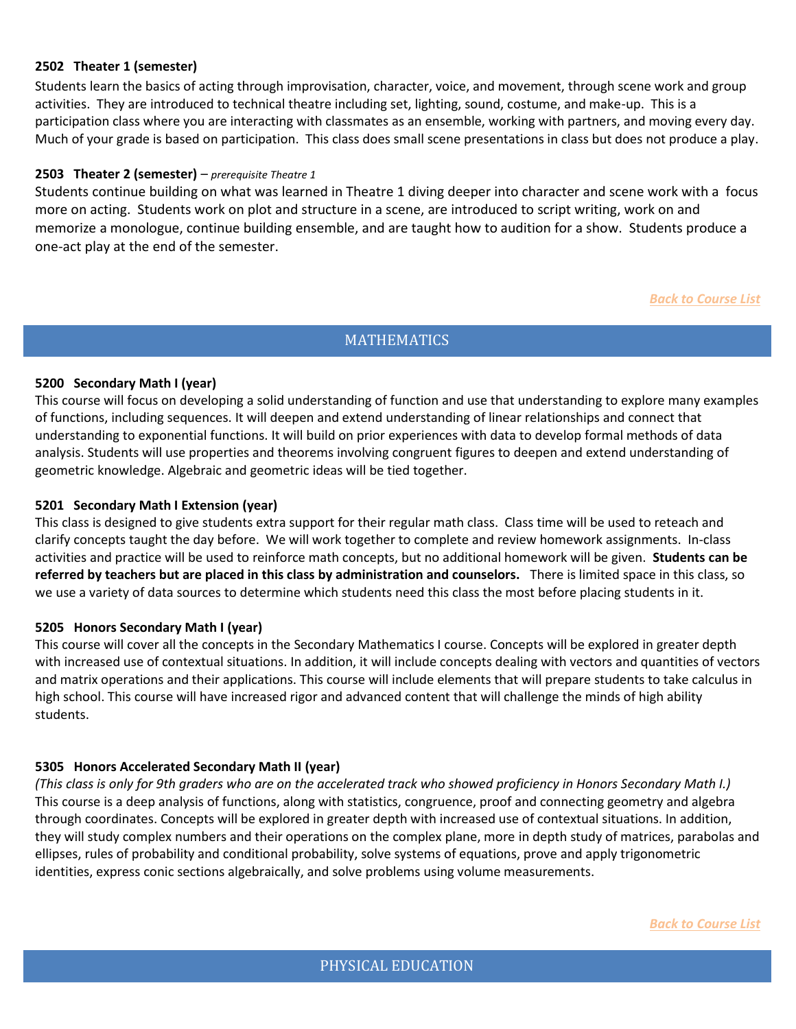#### **2502 Theater 1 (semester)**

Students learn the basics of acting through improvisation, character, voice, and movement, through scene work and group activities. They are introduced to technical theatre including set, lighting, sound, costume, and make-up. This is a participation class where you are interacting with classmates as an ensemble, working with partners, and moving every day. Much of your grade is based on participation. This class does small scene presentations in class but does not produce a play.

#### **2503 Theater 2 (semester)** – *prerequisite Theatre 1*

Students continue building on what was learned in Theatre 1 diving deeper into character and scene work with a focus more on acting. Students work on plot and structure in a scene, are introduced to script writing, work on and memorize a monologue, continue building ensemble, and are taught how to audition for a show. Students produce a one-act play at the end of the semester.

#### *Back to Course List*

#### **MATHEMATICS**

#### <span id="page-8-0"></span>**5200 Secondary Math I (year)**

<span id="page-8-1"></span>This course will focus on developing a solid understanding of function and use that understanding to explore many examples of functions, including sequences. It will deepen and extend understanding of linear relationships and connect that understanding to exponential functions. It will build on prior experiences with data to develop formal methods of data analysis. Students will use properties and theorems involving congruent figures to deepen and extend understanding of geometric knowledge. Algebraic and geometric ideas will be tied together.

#### **5201 Secondary Math I Extension (year)**

This class is designed to give students extra support for their regular math class. Class time will be used to reteach and clarify concepts taught the day before. We will work together to complete and review homework assignments. In-class activities and practice will be used to reinforce math concepts, but no additional homework will be given. **Students can be referred by teachers but are placed in this class by administration and counselors.** There is limited space in this class, so we use a variety of data sources to determine which students need this class the most before placing students in it.

#### **5205 Honors Secondary Math I (year)**

This course will cover all the concepts in the Secondary Mathematics I course. Concepts will be explored in greater depth with increased use of contextual situations. In addition, it will include concepts dealing with vectors and quantities of vectors and matrix operations and their applications. This course will include elements that will prepare students to take calculus in high school. This course will have increased rigor and advanced content that will challenge the minds of high ability students.

#### **5305 Honors Accelerated Secondary Math II (year)**

<span id="page-8-2"></span>*(This class is only for 9th graders who are on the accelerated track who showed proficiency in Honors Secondary Math I.)* This course is a deep analysis of functions, along with statistics, congruence, proof and connecting geometry and algebra through coordinates. Concepts will be explored in greater depth with increased use of contextual situations. In addition, they will study complex numbers and their operations on the complex plane, more in depth study of matrices, parabolas and ellipses, rules of probability and conditional probability, solve systems of equations, prove and apply trigonometric identities, express conic sections algebraically, and solve problems using volume measurements.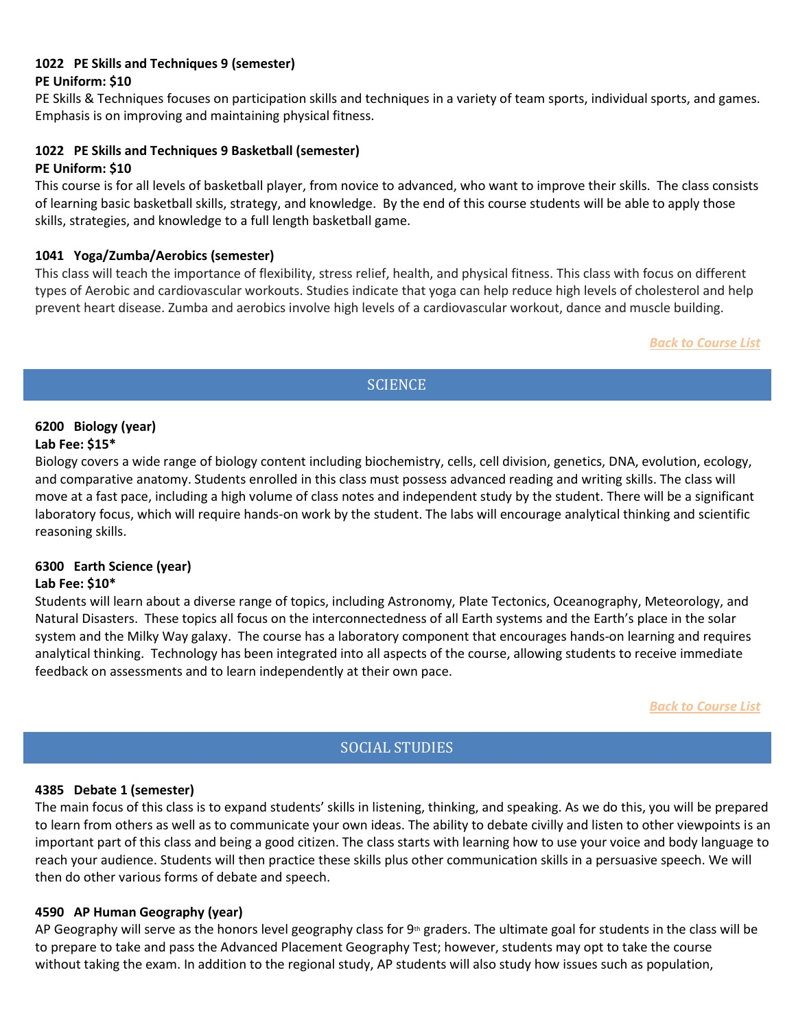# <span id="page-9-0"></span>**1022 PE Skills and Techniques 9 (semester)**

# **PE Uniform: \$10**

PE Skills & Techniques focuses on participation skills and techniques in a variety of team sports, individual sports, and games. Emphasis is on improving and maintaining physical fitness.

# **1022 PE Skills and Techniques 9 Basketball (semester)**

#### **PE Uniform: \$10**

This course is for all levels of basketball player, from novice to advanced, who want to improve their skills. The class consists of learning basic basketball skills, strategy, and knowledge. By the end of this course students will be able to apply those skills, strategies, and knowledge to a full length basketball game.

# **1041 Yoga/Zumba/Aerobics (semester)**

This class will teach the importance of flexibility, stress relief, health, and physical fitness. This class with focus on different types of Aerobic and cardiovascular workouts. Studies indicate that yoga can help reduce high levels of cholesterol and help prevent heart disease. Zumba and aerobics involve high levels of a cardiovascular workout, dance and muscle building.

#### *Back to Course List*

# **SCIENCE**

#### <span id="page-9-2"></span><span id="page-9-1"></span>**6200 Biology (year) Lab Fee: \$15\***

<span id="page-9-3"></span>Biology covers a wide range of biology content including biochemistry, cells, cell division, genetics, DNA, evolution, ecology, and comparative anatomy. Students enrolled in this class must possess advanced reading and writing skills. The class will move at a fast pace, including a high volume of class notes and independent study by the student. There will be a significant laboratory focus, which will require hands-on work by the student. The labs will encourage analytical thinking and scientific reasoning skills.

#### **6300 Earth Science (year) Lab Fee: \$10\***

Students will learn about a diverse range of topics, including Astronomy, Plate Tectonics, Oceanography, Meteorology, and Natural Disasters.  These topics all focus on the interconnectedness of all Earth systems and the Earth's place in the solar system and the Milky Way galaxy.  The course has a laboratory component that encourages hands-on learning and requires analytical thinking.  Technology has been integrated into all aspects of the course, allowing students to receive immediate feedback on assessments and to learn independently at their own pace.

*Back to Course List*

# SOCIAL STUDIES

#### <span id="page-9-5"></span><span id="page-9-4"></span>**4385 Debate 1 (semester)**

The main focus of this class is to expand students' skills in listening, thinking, and speaking. As we do this, you will be prepared to learn from others as well as to communicate your own ideas. The ability to debate civilly and listen to other viewpoints is an important part of this class and being a good citizen. The class starts with learning how to use your voice and body language to reach your audience. Students will then practice these skills plus other communication skills in a persuasive speech. We will then do other various forms of debate and speech.

#### **4590 AP Human Geography (year)**

AP Geography will serve as the honors level geography class for  $9<sup>th</sup>$  graders. The ultimate goal for students in the class will be to prepare to take and pass the Advanced Placement Geography Test; however, students may opt to take the course without taking the exam. In addition to the regional study, AP students will also study how issues such as population,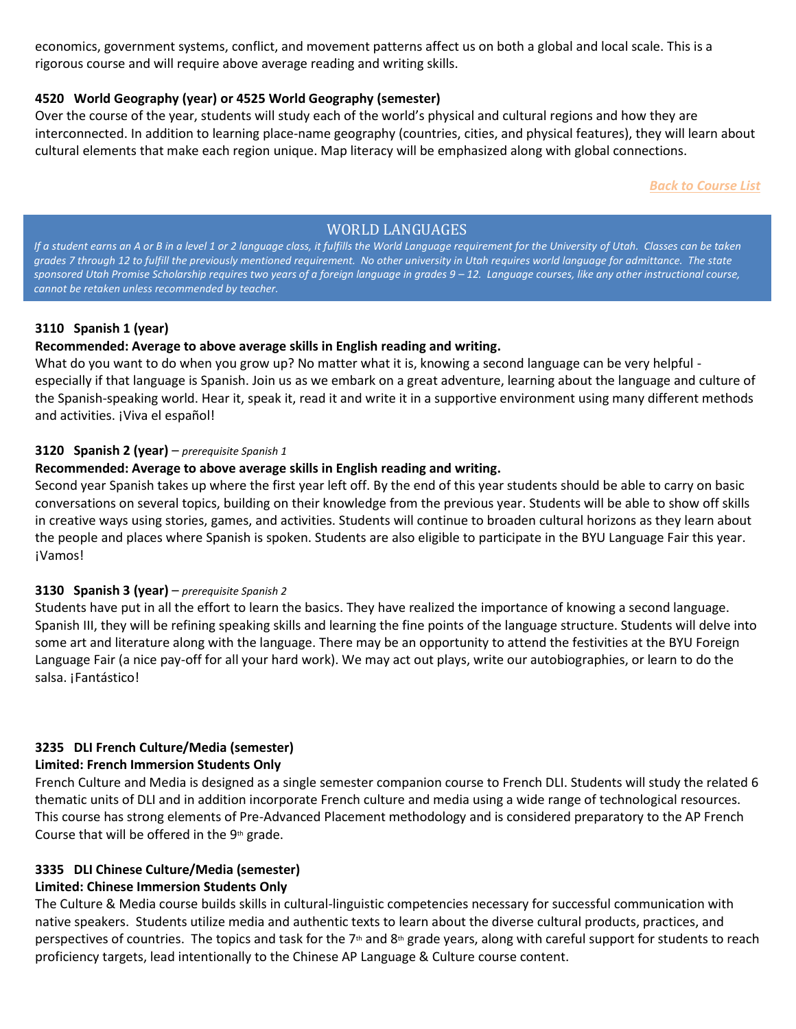economics, government systems, conflict, and movement patterns affect us on both a global and local scale. This is a rigorous course and will require above average reading and writing skills.

# **4520 World Geography (year) or 4525 World Geography (semester)**

Over the course of the year, students will study each of the world's physical and cultural regions and how they are interconnected. In addition to learning place-name geography (countries, cities, and physical features), they will learn about cultural elements that make each region unique. Map literacy will be emphasized along with global connections.

*Back to Course List*

# WORLD LANGUAGES

<span id="page-10-0"></span>If a student earns an A or B in a level 1 or 2 language class, it fulfills the World Language requirement for the University of Utah. Classes can be taken *grades 7 through 12 to fulfill the previously mentioned requirement. No other university in Utah requires world language for admittance. The state*  sponsored Utah Promise Scholarship requires two years of a foreign language in grades  $9 - 12$ . Language courses, like any other instructional course, *cannot be retaken unless recommended by teacher.*

# <span id="page-10-3"></span><span id="page-10-1"></span>**3110 Spanish 1 (year)**

# **Recommended: Average to above average skills in English reading and writing.**

<span id="page-10-2"></span>What do you want to do when you grow up? No matter what it is, knowing a second language can be very helpful especially if that language is Spanish. Join us as we embark on a great adventure, learning about the language and culture of the Spanish-speaking world. Hear it, speak it, read it and write it in a supportive environment using many different methods and activities. ¡Viva el español!

#### **3120 Spanish 2 (year)** – *prerequisite Spanish 1*

# **Recommended: Average to above average skills in English reading and writing.**

Second year Spanish takes up where the first year left off. By the end of this year students should be able to carry on basic conversations on several topics, building on their knowledge from the previous year. Students will be able to show off skills in creative ways using stories, games, and activities. Students will continue to broaden cultural horizons as they learn about the people and places where Spanish is spoken. Students are also eligible to participate in the BYU Language Fair this year. ¡Vamos!

#### **3130 Spanish 3 (year)** – *prerequisite Spanish 2*

Students have put in all the effort to learn the basics. They have realized the importance of knowing a second language. Spanish III, they will be refining speaking skills and learning the fine points of the language structure. Students will delve into some art and literature along with the language. There may be an opportunity to attend the festivities at the BYU Foreign Language Fair (a nice pay-off for all your hard work). We may act out plays, write our autobiographies, or learn to do the salsa. ¡Fantástico!

# **3235 DLI French Culture/Media (semester)**

# **Limited: French Immersion Students Only**

French Culture and Media is designed as a single semester companion course to French DLI. Students will study the related 6 thematic units of DLI and in addition incorporate French culture and media using a wide range of technological resources. This course has strong elements of Pre-Advanced Placement methodology and is considered preparatory to the AP French Course that will be offered in the 9<sup>th</sup> grade.

# **3335 DLI Chinese Culture/Media (semester)**

# **Limited: Chinese Immersion Students Only**

<span id="page-10-5"></span><span id="page-10-4"></span>The Culture & Media course builds skills in cultural-linguistic competencies necessary for successful communication with native speakers. Students utilize media and authentic texts to learn about the diverse cultural products, practices, and perspectives of countries. The topics and task for the  $7<sup>th</sup>$  and  $8<sup>th</sup>$  grade years, along with careful support for students to reach proficiency targets, lead intentionally to the Chinese AP Language & Culture course content.